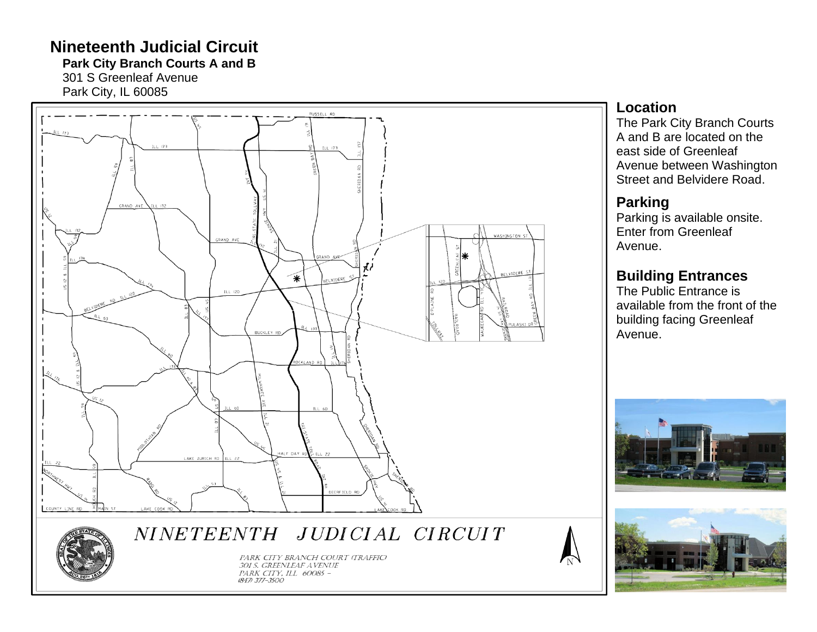# **Nineteenth Judicial Circuit**

**Park City Branch Courts A and B**

301 S Greenleaf Avenue Park City, IL 60085



### **Location**

The Park City Branch Courts A and B are located on the east side of Greenleaf Avenue between Washington Street and Belvidere Road .

## **Parking**

Parking is available onsite. Enter from Greenleaf Avenue .

# **Building Entrances**

The Public Entrance is available from the front of the building facing Greenleaf Avenue .